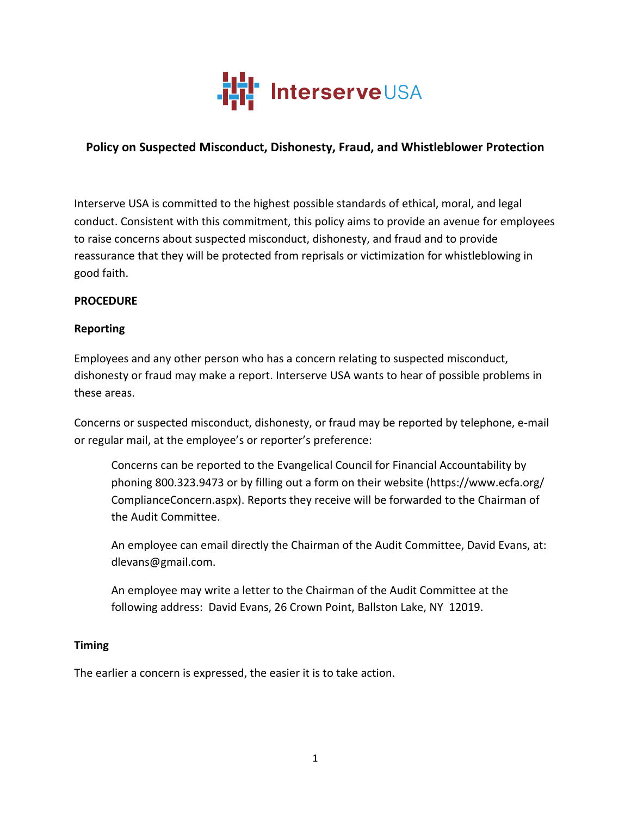

# **Policy on Suspected Misconduct, Dishonesty, Fraud, and Whistleblower Protection**

Interserve USA is committed to the highest possible standards of ethical, moral, and legal conduct. Consistent with this commitment, this policy aims to provide an avenue for employees to raise concerns about suspected misconduct, dishonesty, and fraud and to provide reassurance that they will be protected from reprisals or victimization for whistleblowing in good faith.

#### **PROCEDURE**

### **Reporting**

Employees and any other person who has a concern relating to suspected misconduct, dishonesty or fraud may make a report. Interserve USA wants to hear of possible problems in these areas.

Concerns or suspected misconduct, dishonesty, or fraud may be reported by telephone, e-mail or regular mail, at the employee's or reporter's preference:

Concerns can be reported to the Evangelical Council for Financial Accountability by phoning 800.323.9473 or by filling out a form on their website (https://www.ecfa.org/ ComplianceConcern.aspx). Reports they receive will be forwarded to the Chairman of the Audit Committee.

An employee can email directly the Chairman of the Audit Committee, David Evans, at: dlevans@gmail.com. 

An employee may write a letter to the Chairman of the Audit Committee at the following address: David Evans, 26 Crown Point, Ballston Lake, NY 12019.

#### **Timing**

The earlier a concern is expressed, the easier it is to take action.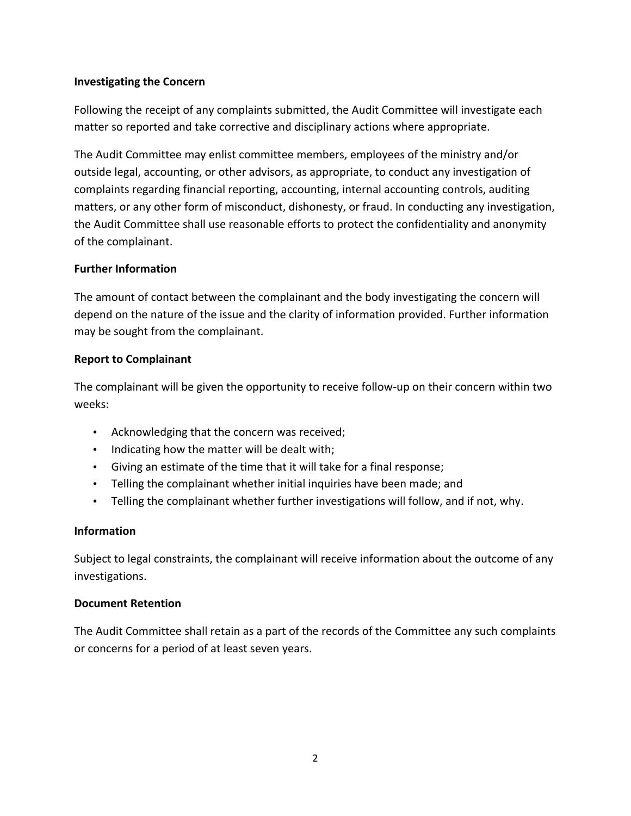### **Investigating the Concern**

Following the receipt of any complaints submitted, the Audit Committee will investigate each matter so reported and take corrective and disciplinary actions where appropriate.

The Audit Committee may enlist committee members, employees of the ministry and/or outside legal, accounting, or other advisors, as appropriate, to conduct any investigation of complaints regarding financial reporting, accounting, internal accounting controls, auditing matters, or any other form of misconduct, dishonesty, or fraud. In conducting any investigation, the Audit Committee shall use reasonable efforts to protect the confidentiality and anonymity of the complainant.

### **Further Information**

The amount of contact between the complainant and the body investigating the concern will depend on the nature of the issue and the clarity of information provided. Further information may be sought from the complainant.

### **Report to Complainant**

The complainant will be given the opportunity to receive follow-up on their concern within two weeks:

- Acknowledging that the concern was received;
- Indicating how the matter will be dealt with;
- Giving an estimate of the time that it will take for a final response;
- Telling the complainant whether initial inquiries have been made; and
- Telling the complainant whether further investigations will follow, and if not, why.

#### **Information**

Subject to legal constraints, the complainant will receive information about the outcome of any investigations.

#### **Document Retention**

The Audit Committee shall retain as a part of the records of the Committee any such complaints or concerns for a period of at least seven years.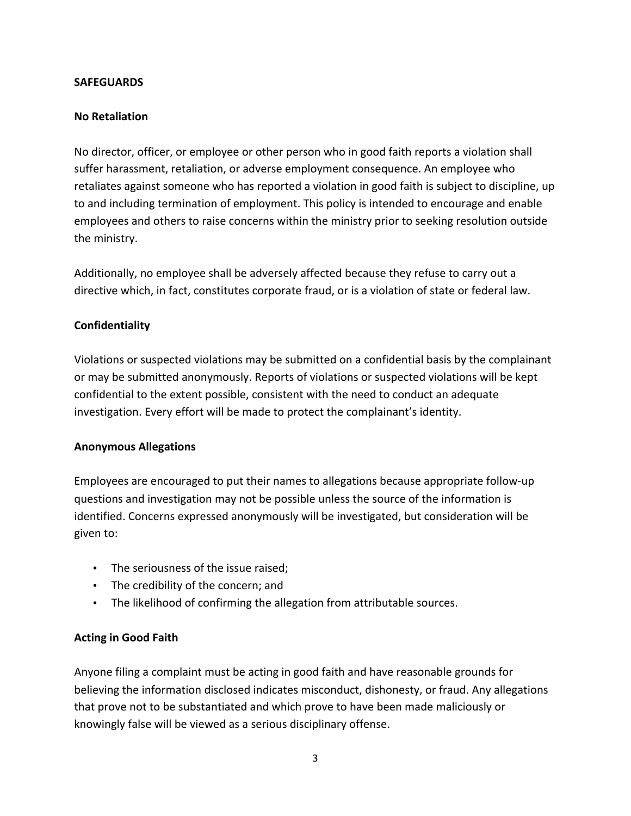#### **SAFEGUARDS**

### **No Retaliation**

No director, officer, or employee or other person who in good faith reports a violation shall suffer harassment, retaliation, or adverse employment consequence. An employee who retaliates against someone who has reported a violation in good faith is subject to discipline, up to and including termination of employment. This policy is intended to encourage and enable employees and others to raise concerns within the ministry prior to seeking resolution outside the ministry.

Additionally, no employee shall be adversely affected because they refuse to carry out a directive which, in fact, constitutes corporate fraud, or is a violation of state or federal law.

### **Confidentiality**

Violations or suspected violations may be submitted on a confidential basis by the complainant or may be submitted anonymously. Reports of violations or suspected violations will be kept confidential to the extent possible, consistent with the need to conduct an adequate investigation. Every effort will be made to protect the complainant's identity.

#### **Anonymous Allegations**

Employees are encouraged to put their names to allegations because appropriate follow-up questions and investigation may not be possible unless the source of the information is identified. Concerns expressed anonymously will be investigated, but consideration will be given to:

- The seriousness of the issue raised;
- The credibility of the concern; and
- The likelihood of confirming the allegation from attributable sources.

## **Acting in Good Faith**

Anyone filing a complaint must be acting in good faith and have reasonable grounds for believing the information disclosed indicates misconduct, dishonesty, or fraud. Any allegations that prove not to be substantiated and which prove to have been made maliciously or knowingly false will be viewed as a serious disciplinary offense.